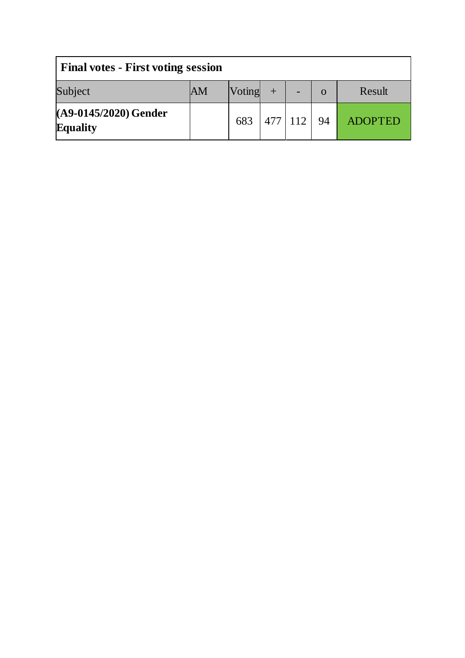| <b>Final votes - First voting session</b> |    |        |         |  |     |                |
|-------------------------------------------|----|--------|---------|--|-----|----------------|
| Subject                                   | AM | Voting |         |  | O   | Result         |
| (A9-0145/2020) Gender<br><b>Equality</b>  |    | 683    | 477 112 |  | -94 | <b>ADOPTED</b> |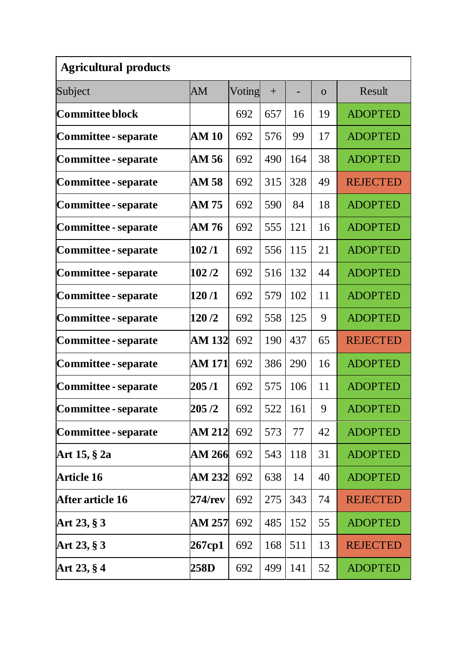| <b>Agricultural products</b> |               |        |     |     |          |                 |  |
|------------------------------|---------------|--------|-----|-----|----------|-----------------|--|
| Subject                      | AM            | Voting | $+$ |     | $\Omega$ | Result          |  |
| Committee block              |               | 692    | 657 | 16  | 19       | <b>ADOPTED</b>  |  |
| Committee - separate         | <b>AM 10</b>  | 692    | 576 | 99  | 17       | <b>ADOPTED</b>  |  |
| Committee - separate         | AM 56         | 692    | 490 | 164 | 38       | <b>ADOPTED</b>  |  |
| Committee - separate         | AM 58         | 692    | 315 | 328 | 49       | <b>REJECTED</b> |  |
| Committee - separate         | AM 75         | 692    | 590 | 84  | 18       | <b>ADOPTED</b>  |  |
| Committee - separate         | AM 76         | 692    | 555 | 121 | 16       | <b>ADOPTED</b>  |  |
| Committee - separate         | 102/1         | 692    | 556 | 115 | 21       | <b>ADOPTED</b>  |  |
| Committee - separate         | 102/2         | 692    | 516 | 132 | 44       | <b>ADOPTED</b>  |  |
| Committee - separate         | 120/1         | 692    | 579 | 102 | 11       | <b>ADOPTED</b>  |  |
| Committee - separate         | 120/2         | 692    | 558 | 125 | 9        | <b>ADOPTED</b>  |  |
| Committee - separate         | <b>AM 132</b> | 692    | 190 | 437 | 65       | <b>REJECTED</b> |  |
| Committee - separate         | <b>AM 171</b> | 692    | 386 | 290 | 16       | <b>ADOPTED</b>  |  |
| Committee - separate         | 205/1         | 692    | 575 | 106 | 11       | <b>ADOPTED</b>  |  |
| Committee - separate         | 205 /2        | 692    | 522 | 161 | 9        | <b>ADOPTED</b>  |  |
| Committee - separate         | AM 212        | 692    | 573 | 77  | 42       | <b>ADOPTED</b>  |  |
| Art 15, § 2a                 | <b>AM 266</b> | 692    | 543 | 118 | 31       | <b>ADOPTED</b>  |  |
| <b>Article 16</b>            | <b>AM 232</b> | 692    | 638 | 14  | 40       | <b>ADOPTED</b>  |  |
| After article 16             | 274/rev       | 692    | 275 | 343 | 74       | <b>REJECTED</b> |  |
| Art 23, § 3                  | AM 257        | 692    | 485 | 152 | 55       | <b>ADOPTED</b>  |  |
| Art 23, § 3                  | 267cp1        | 692    | 168 | 511 | 13       | <b>REJECTED</b> |  |
| Art 23, § 4                  | 258D          | 692    | 499 | 141 | 52       | <b>ADOPTED</b>  |  |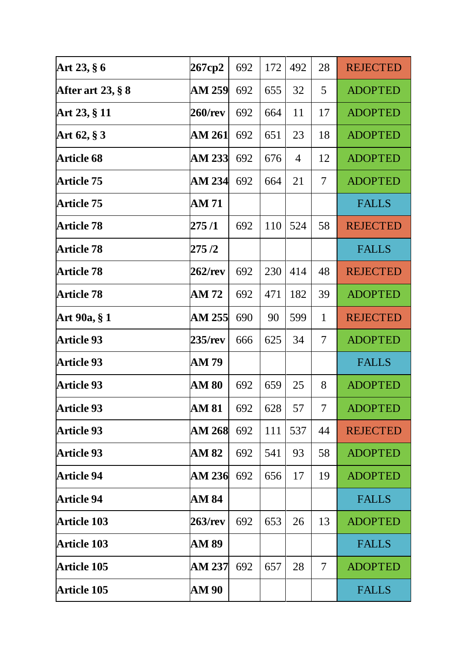| Art 23, § 6                            | 267cp2         | 692 | 172 | 492            | 28                       | <b>REJECTED</b> |
|----------------------------------------|----------------|-----|-----|----------------|--------------------------|-----------------|
| After art $23, § 8$                    | AM 259         | 692 | 655 | 32             | 5                        | <b>ADOPTED</b>  |
| Art 23, § 11                           | <b>260/rev</b> | 692 | 664 | 11             | 17                       | <b>ADOPTED</b>  |
| Art $62, § 3$                          | AM 261         | 692 | 651 | 23             | 18                       | <b>ADOPTED</b>  |
| <b>Article 68</b>                      | <b>AM 233</b>  | 692 | 676 | $\overline{4}$ | 12                       | <b>ADOPTED</b>  |
| <b>Article 75</b>                      | AM 234         | 692 | 664 | 21             | $\overline{\mathcal{L}}$ | <b>ADOPTED</b>  |
| <b>Article 75</b>                      | AM 71          |     |     |                |                          | <b>FALLS</b>    |
| <b>Article 78</b>                      | 275 /1         | 692 | 110 | 524            | 58                       | <b>REJECTED</b> |
| <b>Article 78</b>                      | 275 /2         |     |     |                |                          | <b>FALLS</b>    |
| <b>Article 78</b>                      | 262/rev        | 692 | 230 | 414            | 48                       | <b>REJECTED</b> |
| <b>Article 78</b>                      | AM 72          | 692 | 471 | 182            | 39                       | <b>ADOPTED</b>  |
| Art 90a, § 1                           | AM 255         | 690 | 90  | 599            | $\mathbf{1}$             | <b>REJECTED</b> |
| <b>Article 93</b>                      | 235/rev        | 666 | 625 | 34             | 7                        | <b>ADOPTED</b>  |
| <b>Article 93</b>                      | AM 79          |     |     |                |                          | <b>FALLS</b>    |
| <b>Article 93</b>                      | <b>AM 80</b>   | 692 | 659 | 25             | 8                        | <b>ADOPTED</b>  |
| <b>Article 93</b>                      | AM 81          | 692 | 628 | 57             | $\overline{7}$           | <b>ADOPTED</b>  |
| <b>Article 93</b>                      |                |     |     |                |                          |                 |
|                                        | AM 268         | 692 | 111 | 537            | 44                       | <b>REJECTED</b> |
|                                        | AM 82          | 692 | 541 | 93             | 58                       | <b>ADOPTED</b>  |
| <b>Article 93</b><br><b>Article 94</b> | AM 236         | 692 | 656 | 17             | 19                       | <b>ADOPTED</b>  |
| <b>Article 94</b>                      | AM 84          |     |     |                |                          | <b>FALLS</b>    |
| <b>Article 103</b>                     | <b>263/rev</b> | 692 | 653 | 26             | 13                       | <b>ADOPTED</b>  |
| <b>Article 103</b>                     | AM 89          |     |     |                |                          | <b>FALLS</b>    |
| <b>Article 105</b>                     | AM 237         | 692 | 657 | 28             | 7                        | <b>ADOPTED</b>  |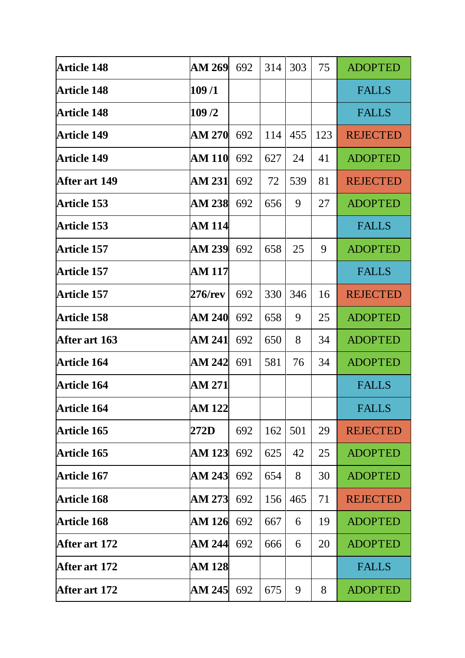| <b>Article 148</b> | AM 269        | 692 | 314 | 303 | 75  | <b>ADOPTED</b>  |
|--------------------|---------------|-----|-----|-----|-----|-----------------|
| <b>Article 148</b> | 109/1         |     |     |     |     | <b>FALLS</b>    |
| <b>Article 148</b> | 109/2         |     |     |     |     | <b>FALLS</b>    |
| <b>Article 149</b> | AM 270        | 692 | 114 | 455 | 123 | <b>REJECTED</b> |
| <b>Article 149</b> | <b>AM 110</b> | 692 | 627 | 24  | 41  | <b>ADOPTED</b>  |
| After art 149      | AM 231        | 692 | 72  | 539 | 81  | <b>REJECTED</b> |
| <b>Article 153</b> | <b>AM 238</b> | 692 | 656 | 9   | 27  | <b>ADOPTED</b>  |
| <b>Article 153</b> | <b>AM 114</b> |     |     |     |     | <b>FALLS</b>    |
| <b>Article 157</b> | AM 239        | 692 | 658 | 25  | 9   | <b>ADOPTED</b>  |
| <b>Article 157</b> | AM 117        |     |     |     |     | <b>FALLS</b>    |
| <b>Article 157</b> | 276/rev       | 692 | 330 | 346 | 16  | <b>REJECTED</b> |
| <b>Article 158</b> | AM 240        | 692 | 658 | 9   | 25  | <b>ADOPTED</b>  |
| After art 163      | AM 241        | 692 | 650 | 8   | 34  | <b>ADOPTED</b>  |
| <b>Article 164</b> | AM 242        | 691 | 581 | 76  | 34  | <b>ADOPTED</b>  |
| <b>Article 164</b> | AM 271        |     |     |     |     | <b>FALLS</b>    |
| <b>Article 164</b> | <b>AM 122</b> |     |     |     |     | <b>FALLS</b>    |
| <b>Article 165</b> | 272D          | 692 | 162 | 501 | 29  | <b>REJECTED</b> |
| <b>Article 165</b> | <b>AM 123</b> | 692 | 625 | 42  | 25  | <b>ADOPTED</b>  |
| <b>Article 167</b> | <b>AM 243</b> | 692 | 654 | 8   | 30  | <b>ADOPTED</b>  |
| <b>Article 168</b> | AM 273        | 692 | 156 | 465 | 71  | <b>REJECTED</b> |
| <b>Article 168</b> | <b>AM 126</b> | 692 | 667 | 6   | 19  | <b>ADOPTED</b>  |
| After art 172      | AM 244        | 692 | 666 | 6   | 20  | <b>ADOPTED</b>  |
| After art 172      | AM 128        |     |     |     |     | <b>FALLS</b>    |
| After art 172      | AM 245        | 692 | 675 | 9   | 8   | <b>ADOPTED</b>  |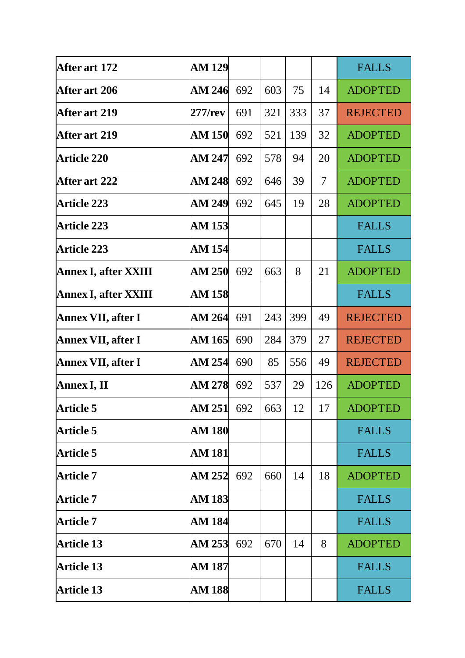| After art 172               | <b>AM 129</b>     |     |     |     |                          | <b>FALLS</b>    |
|-----------------------------|-------------------|-----|-----|-----|--------------------------|-----------------|
| After art 206               | AM 246            | 692 | 603 | 75  | 14                       | <b>ADOPTED</b>  |
| After art 219               | 277/rev           | 691 | 321 | 333 | 37                       | <b>REJECTED</b> |
| <b>After art 219</b>        | <b>AM 150</b>     | 692 | 521 | 139 | 32                       | <b>ADOPTED</b>  |
| <b>Article 220</b>          | AM 247            | 692 | 578 | 94  | 20                       | <b>ADOPTED</b>  |
| After art 222               | AM 248            | 692 | 646 | 39  | $\overline{\mathcal{L}}$ | <b>ADOPTED</b>  |
| <b>Article 223</b>          | AM 249            | 692 | 645 | 19  | 28                       | <b>ADOPTED</b>  |
| <b>Article 223</b>          | <b>AM 153</b>     |     |     |     |                          | <b>FALLS</b>    |
| <b>Article 223</b>          | AM 154            |     |     |     |                          | <b>FALLS</b>    |
| <b>Annex I, after XXIII</b> | AM 250            | 692 | 663 | 8   | 21                       | <b>ADOPTED</b>  |
| <b>Annex I, after XXIII</b> | <b>AM 158</b>     |     |     |     |                          | <b>FALLS</b>    |
| Annex VII, after I          | AM 264            | 691 | 243 | 399 | 49                       | <b>REJECTED</b> |
| Annex VII, after I          | AM 165            | 690 | 284 | 379 | 27                       | <b>REJECTED</b> |
| Annex VII, after I          | <b>AM 254</b>     | 690 | 85  | 556 | 49                       | <b>REJECTED</b> |
| Annex I, II                 | <b>AM 278</b>     | 692 | 537 | 29  | 126                      | <b>ADOPTED</b>  |
| <b>Article 5</b>            | <b>AM 251</b> 692 |     | 663 | 12  | 17                       | <b>ADOPTED</b>  |
| <b>Article 5</b>            | <b>AM 180</b>     |     |     |     |                          | <b>FALLS</b>    |
| Article 5                   | AM 181            |     |     |     |                          | <b>FALLS</b>    |
| <b>Article 7</b>            | AM 252            | 692 | 660 | 14  | 18                       | <b>ADOPTED</b>  |
| <b>Article 7</b>            | <b>AM 183</b>     |     |     |     |                          | <b>FALLS</b>    |
| <b>Article 7</b>            | <b>AM 184</b>     |     |     |     |                          | <b>FALLS</b>    |
| <b>Article 13</b>           | AM 253            | 692 | 670 | 14  | 8                        | <b>ADOPTED</b>  |
| <b>Article 13</b>           | AM 187            |     |     |     |                          | <b>FALLS</b>    |
| <b>Article 13</b>           | <b>AM 188</b>     |     |     |     |                          | <b>FALLS</b>    |